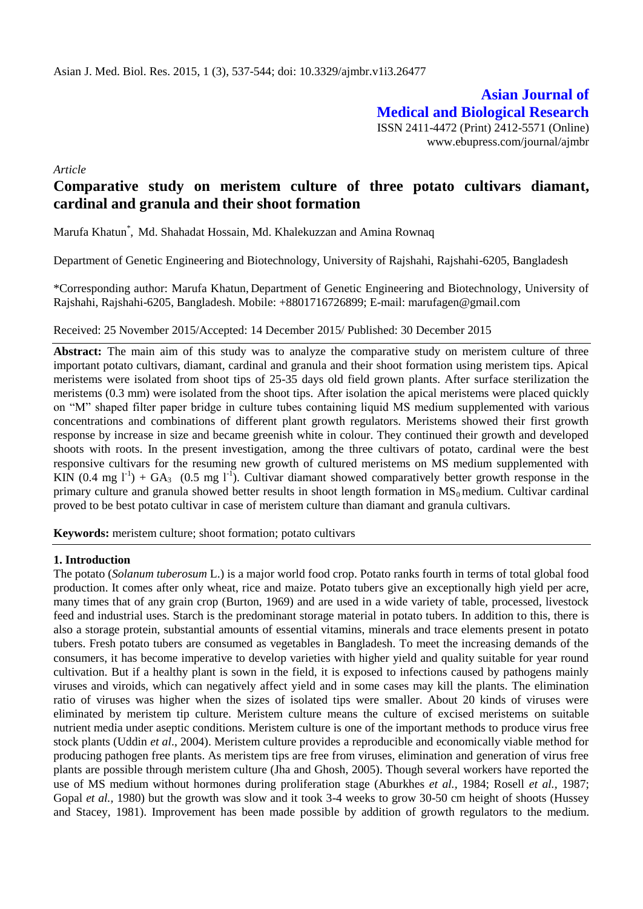**Asian Journal of Medical and Biological Research** ISSN 2411-4472 (Print) 2412-5571 (Online) www.ebupress.com/journal/ajmbr

*Article*

# **Comparative study on meristem culture of three potato cultivars diamant, cardinal and granula and their shoot formation**

Marufa Khatun\* , Md. Shahadat Hossain, Md. Khalekuzzan and Amina Rownaq

Department of Genetic Engineering and Biotechnology, University of Rajshahi, Rajshahi-6205, Bangladesh

\*Corresponding author: Marufa Khatun, Department of Genetic Engineering and Biotechnology, University of Rajshahi, Rajshahi-6205, Bangladesh. Mobile: +8801716726899; E-mail: marufagen@gmail.com

## Received: 25 November 2015/Accepted: 14 December 2015/ Published: 30 December 2015

**Abstract:** The main aim of this study was to analyze the comparative study on meristem culture of three important potato cultivars, diamant, cardinal and granula and their shoot formation using meristem tips. Apical meristems were isolated from shoot tips of 25-35 days old field grown plants. After surface sterilization the meristems (0.3 mm) were isolated from the shoot tips. After isolation the apical meristems were placed quickly on "M" shaped filter paper bridge in culture tubes containing liquid MS medium supplemented with various concentrations and combinations of different plant growth regulators. Meristems showed their first growth response by increase in size and became greenish white in colour. They continued their growth and developed shoots with roots. In the present investigation, among the three cultivars of potato, cardinal were the best responsive cultivars for the resuming new growth of cultured meristems on MS medium supplemented with KIN (0.4 mg  $I^1$ ) + GA<sub>3</sub> (0.5 mg  $I^1$ ). Cultivar diamant showed comparatively better growth response in the primary culture and granula showed better results in shoot length formation in  $MS<sub>0</sub>$  medium. Cultivar cardinal proved to be best potato cultivar in case of meristem culture than diamant and granula cultivars.

**Keywords:** meristem culture; shoot formation; potato cultivars

# **1. Introduction**

The potato (*Solanum tuberosum* L.) is a major world food crop. Potato ranks fourth in terms of total global food production. It comes after only wheat, rice and maize. Potato tubers give an exceptionally high yield per acre, many times that of any grain crop (Burton, 1969) and are used in a wide variety of table, processed, livestock feed and industrial uses. Starch is the predominant storage material in potato tubers. In addition to this, there is also a storage protein, substantial amounts of essential vitamins, minerals and trace elements present in potato tubers. Fresh potato tubers are consumed as vegetables in Bangladesh. To meet the increasing demands of the consumers, it has become imperative to develop varieties with higher yield and quality suitable for year round cultivation. But if a healthy plant is sown in the field, it is exposed to infections caused by pathogens mainly viruses and viroids, which can negatively affect yield and in some cases may kill the plants. The elimination ratio of viruses was higher when the sizes of isolated tips were smaller. About 20 kinds of viruses were eliminated by meristem tip culture. Meristem culture means the culture of excised meristems on suitable nutrient media under aseptic conditions. Meristem culture is one of the important methods to produce virus free stock plants (Uddin *et al*., 2004). Meristem culture provides a reproducible and economically viable method for producing pathogen free plants. As meristem tips are free from viruses, elimination and generation of virus free plants are possible through meristem culture (Jha and Ghosh, 2005). Though several workers have reported the use of MS medium without hormones during proliferation stage (Aburkhes *et al.,* 1984; Rosell *et al.,* 1987; Gopal *et al.,* 1980) but the growth was slow and it took 3-4 weeks to grow 30-50 cm height of shoots (Hussey and Stacey, 1981). Improvement has been made possible by addition of growth regulators to the medium.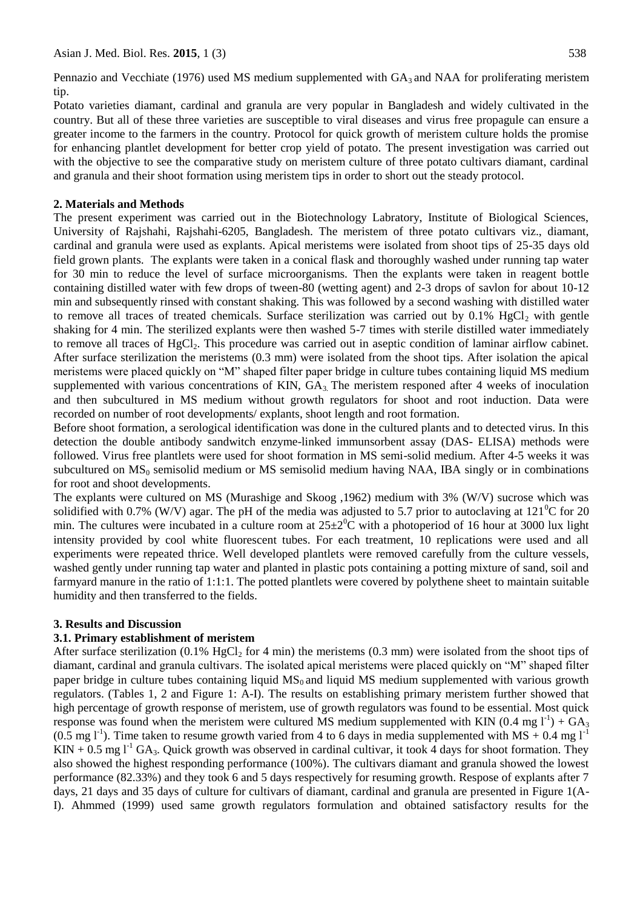Pennazio and Vecchiate (1976) used MS medium supplemented with  $GA_3$  and NAA for proliferating meristem tip.

Potato varieties diamant, cardinal and granula are very popular in Bangladesh and widely cultivated in the country. But all of these three varieties are susceptible to viral diseases and virus free propagule can ensure a greater income to the farmers in the country. Protocol for quick growth of meristem culture holds the promise for enhancing plantlet development for better crop yield of potato. The present investigation was carried out with the objective to see the comparative study on meristem culture of three potato cultivars diamant, cardinal and granula and their shoot formation using meristem tips in order to short out the steady protocol.

# **2. Materials and Methods**

The present experiment was carried out in the Biotechnology Labratory, Institute of Biological Sciences, University of Rajshahi, Rajshahi-6205, Bangladesh. The meristem of three potato cultivars viz., diamant, cardinal and granula were used as explants. Apical meristems were isolated from shoot tips of 25-35 days old field grown plants. The explants were taken in a conical flask and thoroughly washed under running tap water for 30 min to reduce the level of surface microorganisms. Then the explants were taken in reagent bottle containing distilled water with few drops of tween-80 (wetting agent) and 2-3 drops of savlon for about 10-12 min and subsequently rinsed with constant shaking. This was followed by a second washing with distilled water to remove all traces of treated chemicals. Surface sterilization was carried out by  $0.1\%$  HgCl<sub>2</sub> with gentle shaking for 4 min. The sterilized explants were then washed 5-7 times with sterile distilled water immediately to remove all traces of  $HgCl<sub>2</sub>$ . This procedure was carried out in aseptic condition of laminar airflow cabinet. After surface sterilization the meristems (0.3 mm) were isolated from the shoot tips. After isolation the apical meristems were placed quickly on "M" shaped filter paper bridge in culture tubes containing liquid MS medium supplemented with various concentrations of KIN,  $GA_3$ . The meristem responed after 4 weeks of inoculation and then subcultured in MS medium without growth regulators for shoot and root induction. Data were recorded on number of root developments/ explants, shoot length and root formation.

Before shoot formation, a serological identification was done in the cultured plants and to detected virus. In this detection the double antibody sandwitch enzyme-linked immunsorbent assay (DAS- ELISA) methods were followed. Virus free plantlets were used for shoot formation in MS semi-solid medium. After 4-5 weeks it was subcultured on  $MS<sub>0</sub>$  semisolid medium or MS semisolid medium having NAA, IBA singly or in combinations for root and shoot developments.

The explants were cultured on MS (Murashige and Skoog ,1962) medium with 3% (W/V) sucrose which was solidified with 0.7% (W/V) agar. The pH of the media was adjusted to 5.7 prior to autoclaving at  $121^{\circ}$ C for 20 min. The cultures were incubated in a culture room at  $25\pm2\degree C$  with a photoperiod of 16 hour at 3000 lux light intensity provided by cool white fluorescent tubes. For each treatment, 10 replications were used and all experiments were repeated thrice. Well developed plantlets were removed carefully from the culture vessels, washed gently under running tap water and planted in plastic pots containing a potting mixture of sand, soil and farmyard manure in the ratio of 1:1:1. The potted plantlets were covered by polythene sheet to maintain suitable humidity and then transferred to the fields.

# **3. Results and Discussion**

# **3.1. Primary establishment of meristem**

After surface sterilization (0.1% HgCl<sub>2</sub> for 4 min) the meristems (0.3 mm) were isolated from the shoot tips of diamant, cardinal and granula cultivars. The isolated apical meristems were placed quickly on "M" shaped filter paper bridge in culture tubes containing liquid  $MS_0$  and liquid MS medium supplemented with various growth regulators. (Tables 1, 2 and Figure 1: A-I). The results on establishing primary meristem further showed that high percentage of growth response of meristem, use of growth regulators was found to be essential. Most quick response was found when the meristem were cultured MS medium supplemented with KIN (0.4 mg  $1^{-1}$ ) + GA<sub>3</sub> (0.5 mg l<sup>-1</sup>). Time taken to resume growth varied from 4 to 6 days in media supplemented with MS + 0.4 mg l<sup>-1</sup>  $KIN + 0.5$  mg  $l<sup>-1</sup> GA<sub>3</sub>$ . Quick growth was observed in cardinal cultivar, it took 4 days for shoot formation. They also showed the highest responding performance (100%). The cultivars diamant and granula showed the lowest performance (82.33%) and they took 6 and 5 days respectively for resuming growth. Respose of explants after 7 days, 21 days and 35 days of culture for cultivars of diamant, cardinal and granula are presented in Figure 1(A-I). Ahmmed (1999) used same growth regulators formulation and obtained satisfactory results for the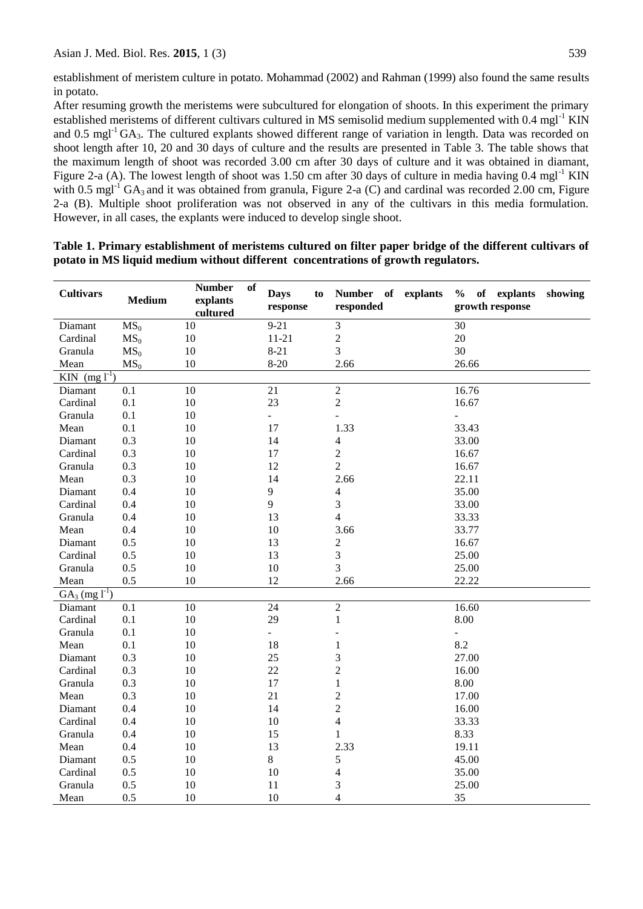establishment of meristem culture in potato. Mohammad (2002) and Rahman (1999) also found the same results in potato.

After resuming growth the meristems were subcultured for elongation of shoots. In this experiment the primary established meristems of different cultivars cultured in MS semisolid medium supplemented with 0.4 mgl<sup>-1</sup> KIN and 0.5 mgl<sup>-1</sup> GA<sub>3</sub>. The cultured explants showed different range of variation in length. Data was recorded on shoot length after 10, 20 and 30 days of culture and the results are presented in Table 3. The table shows that the maximum length of shoot was recorded 3.00 cm after 30 days of culture and it was obtained in diamant, Figure 2-a (A). The lowest length of shoot was 1.50 cm after 30 days of culture in media having  $0.4 \text{ mgl}^{-1}$  KIN with 0.5 mgl<sup>-1</sup> GA<sub>3</sub> and it was obtained from granula, Figure 2-a (C) and cardinal was recorded 2.00 cm, Figure 2-a (B). Multiple shoot proliferation was not observed in any of the cultivars in this media formulation. However, in all cases, the explants were induced to develop single shoot.

| <b>Cultivars</b>                | <b>Medium</b>   | <b>Number</b><br>of<br>explants<br>cultured | <b>Days</b><br>to<br>response | Number of explants<br>responded | of explants<br>$\%$<br>showing<br>growth response |
|---------------------------------|-----------------|---------------------------------------------|-------------------------------|---------------------------------|---------------------------------------------------|
| Diamant                         | MS <sub>0</sub> | 10                                          | $9 - 21$                      | 3                               | 30                                                |
| Cardinal                        | MS <sub>0</sub> | 10                                          | $11 - 21$                     | $\boldsymbol{2}$                | 20                                                |
| Granula                         | MS <sub>0</sub> | 10                                          | $8 - 21$                      | 3                               | 30                                                |
| Mean                            | MS <sub>0</sub> | 10                                          | $8 - 20$                      | 2.66                            | 26.66                                             |
| $\overline{KIN}$ (mg $1^{-1}$ ) |                 |                                             |                               |                                 |                                                   |
| Diamant                         | 0.1             | 10                                          | 21                            | $\sqrt{2}$                      | 16.76                                             |
| Cardinal                        | 0.1             | 10                                          | 23                            | $\overline{2}$                  | 16.67                                             |
| Granula                         | 0.1             | 10                                          | ÷.                            |                                 | $\overline{\phantom{a}}$                          |
| Mean                            | 0.1             | 10                                          | 17                            | 1.33                            | 33.43                                             |
| Diamant                         | 0.3             | 10                                          | 14                            | 4                               | 33.00                                             |
| Cardinal                        | 0.3             | 10                                          | 17                            | $\sqrt{2}$                      | 16.67                                             |
| Granula                         | 0.3             | 10                                          | 12                            | $\overline{2}$                  | 16.67                                             |
| Mean                            | 0.3             | 10                                          | 14                            | 2.66                            | 22.11                                             |
| Diamant                         | 0.4             | 10                                          | 9                             | $\overline{\mathbf{4}}$         | 35.00                                             |
| Cardinal                        | 0.4             | 10                                          | 9                             | 3                               | 33.00                                             |
| Granula                         | 0.4             | 10                                          | 13                            | $\overline{\mathbf{4}}$         | 33.33                                             |
| Mean                            | 0.4             | 10                                          | 10                            | 3.66                            | 33.77                                             |
| Diamant                         | 0.5             | 10                                          | 13                            | $\mathfrak{2}$                  | 16.67                                             |
| Cardinal                        | 0.5             | 10                                          | 13                            | 3                               | 25.00                                             |
| Granula                         | 0.5             | 10                                          | 10                            | $\overline{3}$                  | 25.00                                             |
| Mean                            | 0.5             | 10                                          | 12                            | 2.66                            | 22.22                                             |
| $GA_3$ (mg $1^{-1}$ )           |                 |                                             |                               |                                 |                                                   |
| Diamant                         | 0.1             | 10                                          | 24                            | $\overline{2}$                  | 16.60                                             |
| Cardinal                        | 0.1             | 10                                          | 29                            | $\mathbf{1}$                    | 8.00                                              |
| Granula                         | 0.1             | 10                                          | $\overline{a}$                |                                 | $\Box$                                            |
| Mean                            | 0.1             | 10                                          | 18                            | $\mathbf{1}$                    | 8.2                                               |
| Diamant                         | 0.3             | 10                                          | 25                            | 3                               | 27.00                                             |
| Cardinal                        | 0.3             | 10                                          | 22                            | $\sqrt{2}$                      | 16.00                                             |
| Granula                         | 0.3             | 10                                          | 17                            | $\mathbf{1}$                    | 8.00                                              |
| Mean                            | 0.3             | 10                                          | 21                            | $\overline{c}$                  | 17.00                                             |
| Diamant                         | 0.4             | 10                                          | 14                            | $\mathfrak 2$                   | 16.00                                             |
| Cardinal                        | 0.4             | 10                                          | 10                            | $\overline{4}$                  | 33.33                                             |
| Granula                         | 0.4             | 10                                          | 15                            | $\mathbf{1}$                    | 8.33                                              |
| Mean                            | 0.4             | 10                                          | 13                            | 2.33                            | 19.11                                             |
| Diamant                         | 0.5             | 10                                          | 8                             | 5                               | 45.00                                             |
| Cardinal                        | 0.5             | 10                                          | 10                            | $\overline{4}$                  | 35.00                                             |
| Granula                         | 0.5             | 10                                          | 11                            | 3                               | 25.00                                             |
| Mean                            | 0.5             | 10                                          | 10                            | $\overline{\mathbf{4}}$         | 35                                                |

**Table 1. Primary establishment of meristems cultured on filter paper bridge of the different cultivars of potato in MS liquid medium without different concentrations of growth regulators.**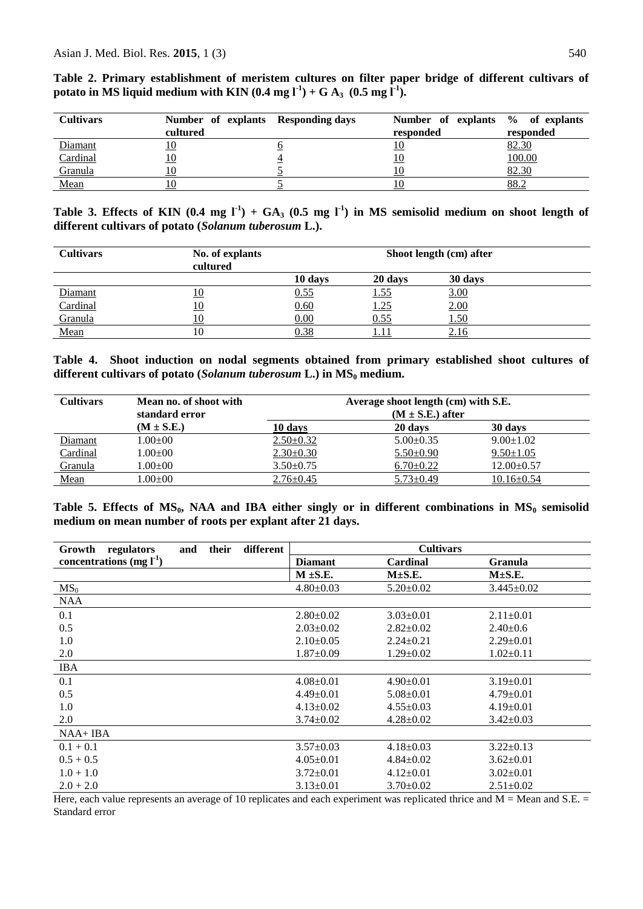| <b>Cultivars</b> | Number of explants Responding days<br>cultured | Number of explants % of explants<br>responded | responded |
|------------------|------------------------------------------------|-----------------------------------------------|-----------|
| Diamant          | <u>10</u>                                      | <u>10</u>                                     | 82.30     |
| Cardinal         | <u> 10</u>                                     | <u>10</u>                                     | 100.00    |
| Granula          | 10                                             |                                               | 82.30     |
| Mean             |                                                |                                               | 88.2      |

**Table 2. Primary establishment of meristem cultures on filter paper bridge of different cultivars of potato in MS liquid medium with KIN**  $(0.4 \text{ mg l}^1) + G A_3$  $(0.5 \text{ mg l}^1)$ **.** 

Table 3. Effects of KIN  $(0.4 \text{ mg } I^1) + GA_3 (0.5 \text{ mg } I^1)$  in MS semisolid medium on shoot length of **different cultivars of potato (***Solanum tuberosum* **L.).**

| <b>Cultivars</b> | No. of explants<br>cultured | Shoot length (cm) after |             |             |  |
|------------------|-----------------------------|-------------------------|-------------|-------------|--|
|                  |                             | 10 days                 | 20 days     | 30 days     |  |
| Diamant          | <u>10</u>                   | 0.55                    | <u>1.55</u> | 3.00        |  |
| Cardinal         | <u>10</u>                   | 0.60                    | <u>1.25</u> | 2.00        |  |
| Granula          |                             | 0.00                    | 0.55        | <u>1.50</u> |  |
| Mean             | 10                          | 0.38                    | 1.11        | <u>2.16</u> |  |

**Table 4. Shoot induction on nodal segments obtained from primary established shoot cultures of different cultivars of potato (***Solanum tuberosum* **L.) in MS<sup>0</sup> medium.**

| <b>Cultivars</b> | Mean no. of shoot with<br>standard error | Average shoot length (cm) with S.E.<br>$(M \pm S.E.)$ after |                 |                  |  |
|------------------|------------------------------------------|-------------------------------------------------------------|-----------------|------------------|--|
|                  | $(M \pm S.E.)$                           | 10 days                                                     | 20 days         | 30 days          |  |
| Diamant          | $1.00{\pm}00$                            | $2.50 \pm 0.32$                                             | $5.00 \pm 0.35$ | $9.00 \pm 1.02$  |  |
| Cardinal         | $1.00{\pm}00$                            | $2.30 \pm 0.30$                                             | $5.50 \pm 0.90$ | $9.50 \pm 1.05$  |  |
| Granula          | $1.00{\pm}00$                            | $3.50 \pm 0.75$                                             | $6.70 \pm 0.22$ | $12.00 \pm 0.57$ |  |
| Mean             | $1.00 \pm 00$                            | $2.76 \pm 0.45$                                             | $5.73 \pm 0.49$ | $10.16 \pm 0.54$ |  |

**Table 5. Effects of MS0, NAA and IBA either singly or in different combinations in MS<sup>0</sup> semisolid medium on mean number of roots per explant after 21 days.**

| different<br>their<br>Growth<br>regulators<br>and | <b>Cultivars</b> |                 |                  |  |
|---------------------------------------------------|------------------|-----------------|------------------|--|
| concentrations (mg $l^1$ )                        | <b>Diamant</b>   | Cardinal        | <b>Granula</b>   |  |
|                                                   | $M \pm S.E.$     | $M\pm S.E.$     | $M\pm S.E.$      |  |
| MS <sub>0</sub>                                   | $4.80 \pm 0.03$  | $5.20 \pm 0.02$ | $3.445 \pm 0.02$ |  |
| <b>NAA</b>                                        |                  |                 |                  |  |
| 0.1                                               | $2.80 \pm 0.02$  | $3.03 \pm 0.01$ | $2.11 \pm 0.01$  |  |
| 0.5                                               | $2.03 \pm 0.02$  | $2.82 \pm 0.02$ | $2.40 \pm 0.6$   |  |
| 1.0                                               | $2.10\pm0.05$    | $2.24+0.21$     | $2.29 \pm 0.01$  |  |
| 2.0                                               | $1.87 \pm 0.09$  | $1.29 \pm 0.02$ | $1.02 \pm 0.11$  |  |
| <b>IBA</b>                                        |                  |                 |                  |  |
| 0.1                                               | $4.08 \pm 0.01$  | $4.90 \pm 0.01$ | $3.19 \pm 0.01$  |  |
| 0.5                                               | $4.49 \pm 0.01$  | $5.08 \pm 0.01$ | $4.79 \pm 0.01$  |  |
| 1.0                                               | $4.13 \pm 0.02$  | $4.55 \pm 0.03$ | $4.19 \pm 0.01$  |  |
| 2.0                                               | $3.74 \pm 0.02$  | $4.28 \pm 0.02$ | $3.42 \pm 0.03$  |  |
| $NAA+IBA$                                         |                  |                 |                  |  |
| $0.1 + 0.1$                                       | $3.57 \pm 0.03$  | $4.18 \pm 0.03$ | $3.22 \pm 0.13$  |  |
| $0.5 + 0.5$                                       | $4.05 \pm 0.01$  | $4.84 \pm 0.02$ | $3.62 \pm 0.01$  |  |
| $1.0 + 1.0$                                       | $3.72 \pm 0.01$  | $4.12 \pm 0.01$ | $3.02 \pm 0.01$  |  |
| $2.0 + 2.0$                                       | $3.13 \pm 0.01$  | $3.70 \pm 0.02$ | $2.51 \pm 0.02$  |  |

Here, each value represents an average of 10 replicates and each experiment was replicated thrice and  $M = Me$ an and  $S.E.$  = Standard error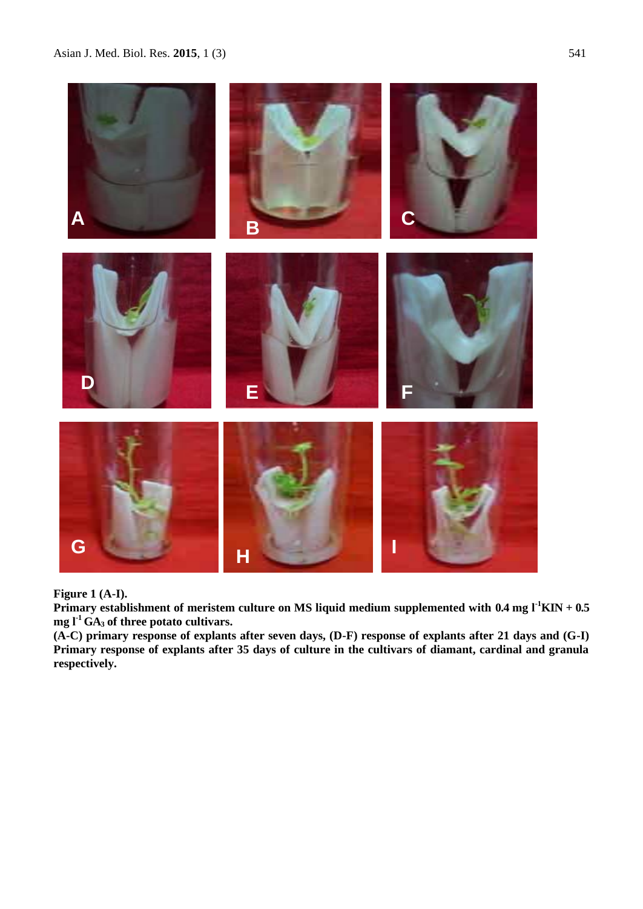

**Figure 1 (A-I).**

Primary establishment of meristem culture on MS liquid medium supplemented with 0.4 mg l<sup>-1</sup>KIN + 0.5  $mg \, \Gamma^1$  GA<sub>3</sub> of three potato cultivars.

**(A-C) primary response of explants after seven days, (D-F) response of explants after 21 days and (G-I) Primary response of explants after 35 days of culture in the cultivars of diamant, cardinal and granula respectively.**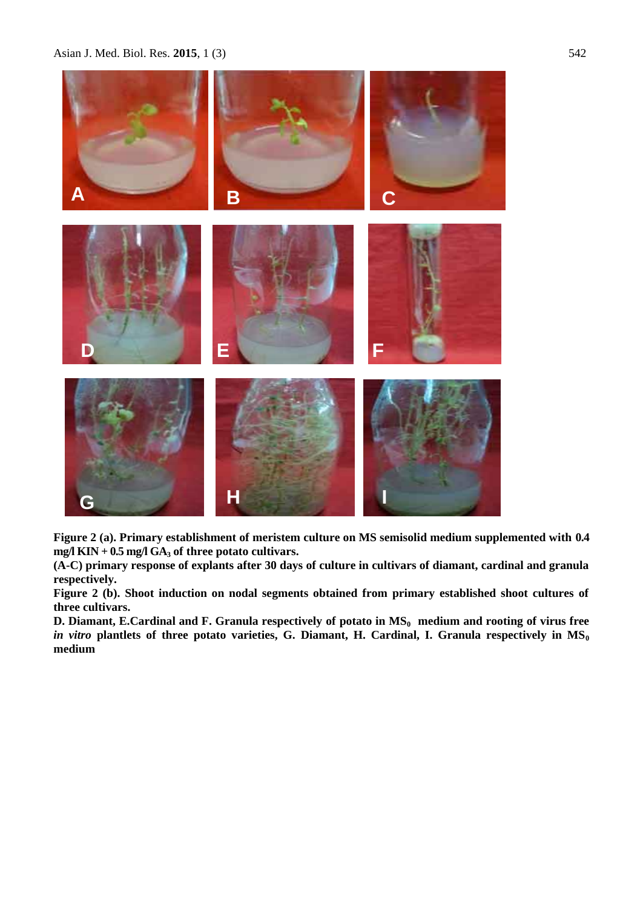Asian J. Med. Biol. Res. 2015, 1 (3) 542



**Figure 2 (a). Primary establishment of meristem culture on MS semisolid medium supplemented with 0.4 mg/l KIN + 0.5 mg/l GA<sup>3</sup> of three potato cultivars.**

**(A-C) primary response of explants after 30 days of culture in cultivars of diamant, cardinal and granula respectively.**

**Figure 2 (b). Shoot induction on nodal segments obtained from primary established shoot cultures of three cultivars.**

**D. Diamant, E.Cardinal and F. Granula respectively of potato in MS0 medium and rooting of virus free**  *in vitro* **plantlets of three potato varieties, G. Diamant, H. Cardinal, I. Granula respectively in MS<sup>0</sup> medium**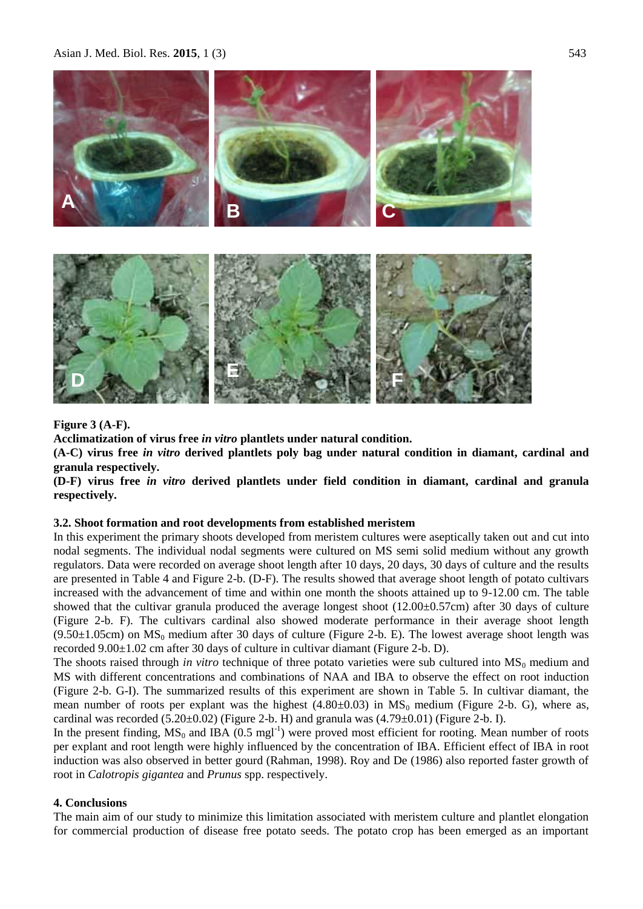Asian J. Med. Biol. Res. 2015, 1 (3) 543



### **Figure 3 (A-F).**

**Acclimatization of virus free** *in vitro* **plantlets under natural condition.**

**(A-C) virus free** *in vitro* **derived plantlets poly bag under natural condition in diamant, cardinal and granula respectively.**

**(D-F) virus free** *in vitro* **derived plantlets under field condition in diamant, cardinal and granula respectively.**

#### **3.2. Shoot formation and root developments from established meristem**

In this experiment the primary shoots developed from meristem cultures were aseptically taken out and cut into nodal segments. The individual nodal segments were cultured on MS semi solid medium without any growth regulators. Data were recorded on average shoot length after 10 days, 20 days, 30 days of culture and the results are presented in Table 4 and Figure 2-b. (D-F). The results showed that average shoot length of potato cultivars increased with the advancement of time and within one month the shoots attained up to 9-12.00 cm. The table showed that the cultivar granula produced the average longest shoot (12.00±0.57cm) after 30 days of culture (Figure 2-b. F). The cultivars cardinal also showed moderate performance in their average shoot length  $(9.50\pm1.05cm)$  on MS<sub>0</sub> medium after 30 days of culture (Figure 2-b. E). The lowest average shoot length was recorded 9.00±1.02 cm after 30 days of culture in cultivar diamant (Figure 2-b. D).

The shoots raised through *in vitro* technique of three potato varieties were sub cultured into MS<sub>0</sub> medium and MS with different concentrations and combinations of NAA and IBA to observe the effect on root induction (Figure 2-b. G-I). The summarized results of this experiment are shown in Table 5. In cultivar diamant, the mean number of roots per explant was the highest  $(4.80\pm0.03)$  in  $MS_0$  medium (Figure 2-b. G), where as, cardinal was recorded  $(5.20\pm0.02)$  (Figure 2-b. H) and granula was  $(4.79\pm0.01)$  (Figure 2-b. I).

In the present finding,  $MS_0$  and IBA (0.5 mgl<sup>-1</sup>) were proved most efficient for rooting. Mean number of roots per explant and root length were highly influenced by the concentration of IBA. Efficient effect of IBA in root induction was also observed in better gourd (Rahman, 1998). Roy and De (1986) also reported faster growth of root in *Calotropis gigantea* and *Prunus* spp. respectively.

## **4. Conclusions**

The main aim of our study to minimize this limitation associated with meristem culture and plantlet elongation for commercial production of disease free potato seeds. The potato crop has been emerged as an important